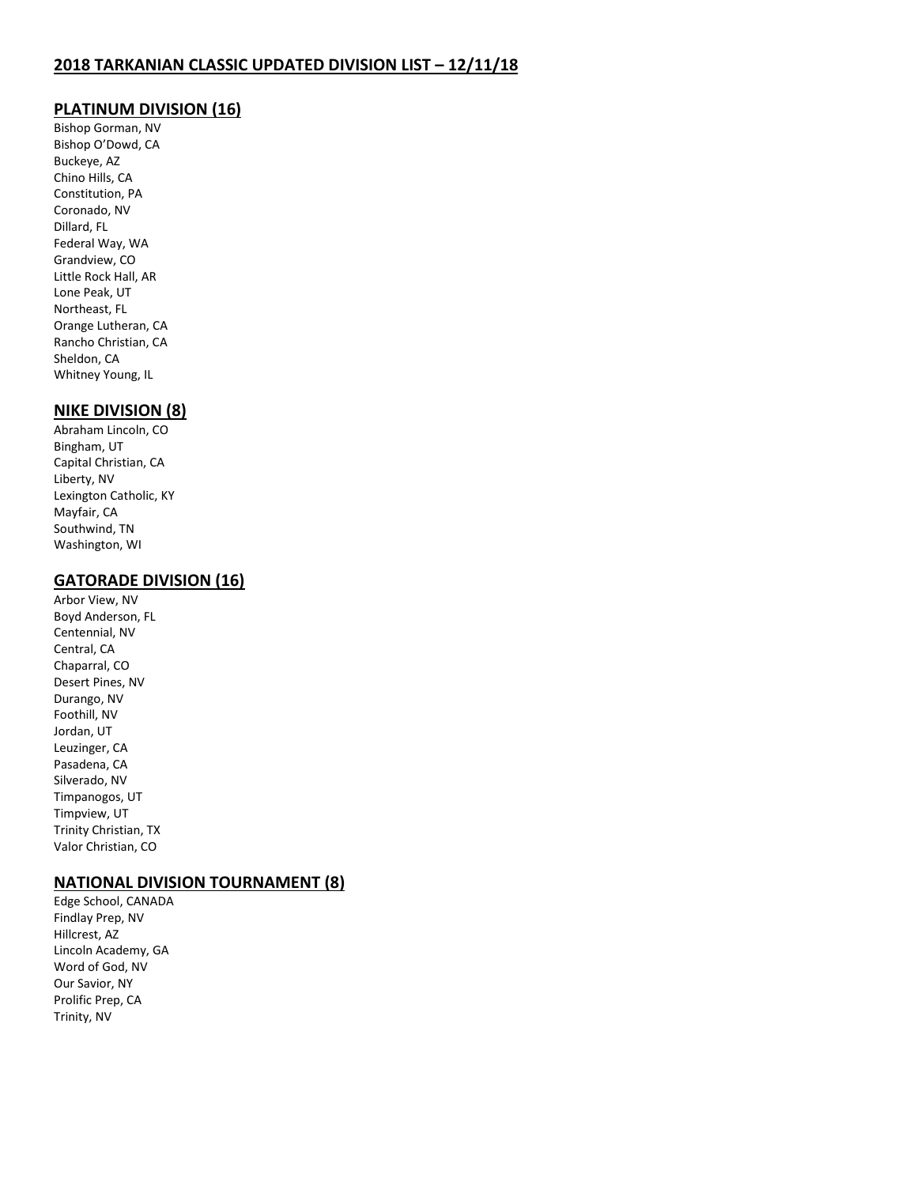# **PLATINUM DIVISION (16)**

Bishop Gorman, NV Bishop O'Dowd, CA Buckeye, AZ Chino Hills, CA Constitution, PA Coronado, NV Dillard, FL Federal Way, WA Grandview, CO Little Rock Hall, AR Lone Peak, UT Northeast, FL Orange Lutheran, CA Rancho Christian, CA Sheldon, CA Whitney Young, IL

## **NIKE DIVISION (8)**

Abraham Lincoln, CO Bingham, UT Capital Christian, CA Liberty, NV Lexington Catholic, KY Mayfair, CA Southwind, TN Washington, WI

# **GATORADE DIVISION (16)**

Arbor View, NV Boyd Anderson, FL Centennial, NV Central, CA Chaparral, CO Desert Pines, NV Durango, NV Foothill, NV Jordan, UT Leuzinger, CA Pasadena, CA Silverado, NV Timpanogos, UT Timpview, UT Trinity Christian, TX Valor Christian, CO

#### **NATIONAL DIVISION TOURNAMENT (8)**

Edge School, CANADA Findlay Prep, NV Hillcrest, AZ Lincoln Academy, GA Word of God, NV Our Savior, NY Prolific Prep, CA Trinity, NV